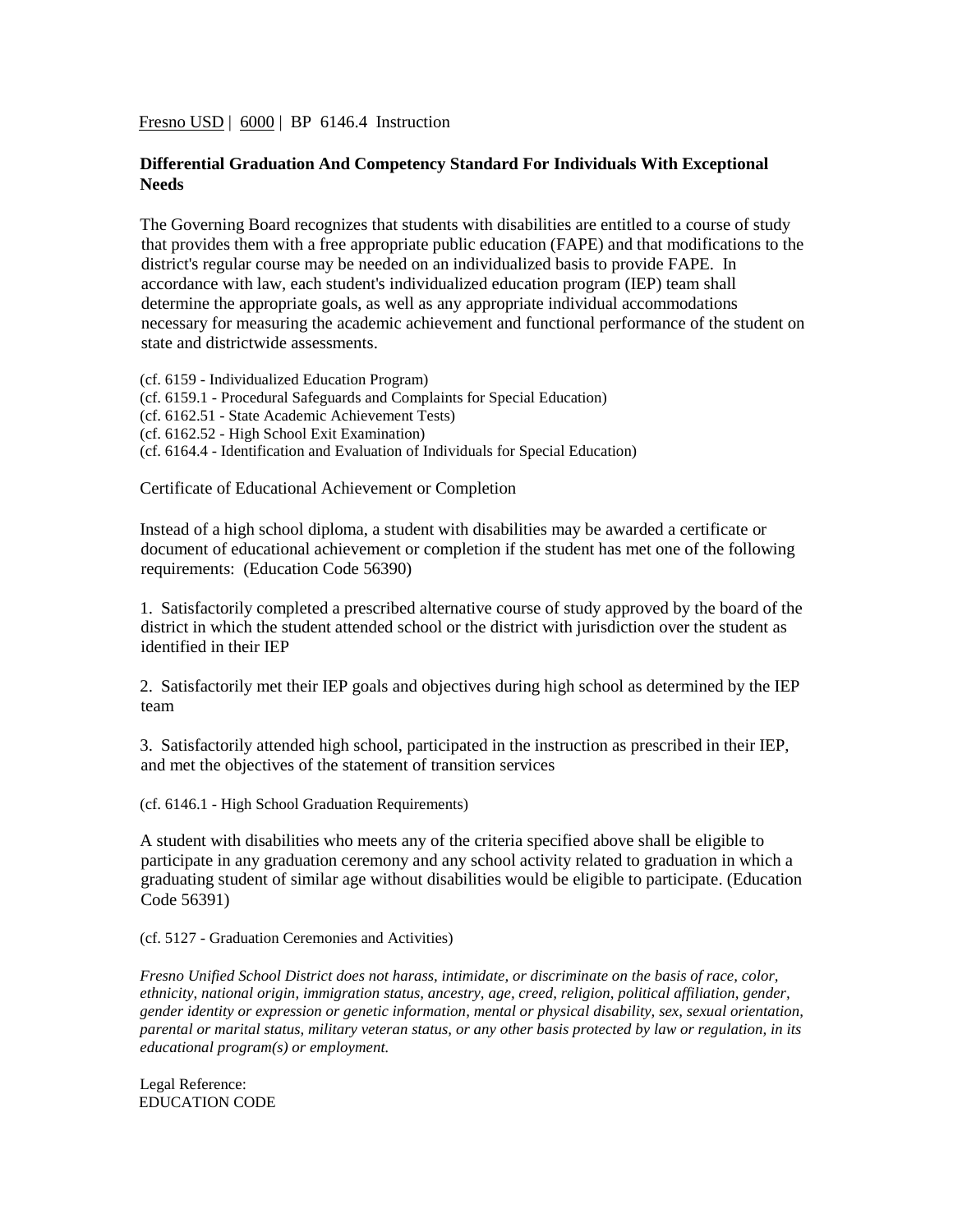Fresno USD | 6000 | BP 6146.4 Instruction

## **Differential Graduation And Competency Standard For Individuals With Exceptional Needs**

The Governing Board recognizes that students with disabilities are entitled to a course of study that provides them with a free appropriate public education (FAPE) and that modifications to the district's regular course may be needed on an individualized basis to provide FAPE. In accordance with law, each student's individualized education program (IEP) team shall determine the appropriate goals, as well as any appropriate individual accommodations necessary for measuring the academic achievement and functional performance of the student on state and districtwide assessments.

(cf. 6159 - Individualized Education Program) (cf. 6159.1 - Procedural Safeguards and Complaints for Special Education) (cf. 6162.51 - State Academic Achievement Tests) (cf. 6162.52 - High School Exit Examination) (cf. 6164.4 - Identification and Evaluation of Individuals for Special Education)

Certificate of Educational Achievement or Completion

Instead of a high school diploma, a student with disabilities may be awarded a certificate or document of educational achievement or completion if the student has met one of the following requirements: (Education Code 56390)

1. Satisfactorily completed a prescribed alternative course of study approved by the board of the district in which the student attended school or the district with jurisdiction over the student as identified in their IEP

2. Satisfactorily met their IEP goals and objectives during high school as determined by the IEP team

3. Satisfactorily attended high school, participated in the instruction as prescribed in their IEP, and met the objectives of the statement of transition services

(cf. 6146.1 - High School Graduation Requirements)

A student with disabilities who meets any of the criteria specified above shall be eligible to participate in any graduation ceremony and any school activity related to graduation in which a graduating student of similar age without disabilities would be eligible to participate. (Education Code 56391)

(cf. 5127 - Graduation Ceremonies and Activities)

*Fresno Unified School District does not harass, intimidate, or discriminate on the basis of race, color, ethnicity, national origin, immigration status, ancestry, age, creed, religion, political affiliation, gender, gender identity or expression or genetic information, mental or physical disability, sex, sexual orientation, parental or marital status, military veteran status, or any other basis protected by law or regulation, in its educational program(s) or employment.*

Legal Reference: EDUCATION CODE